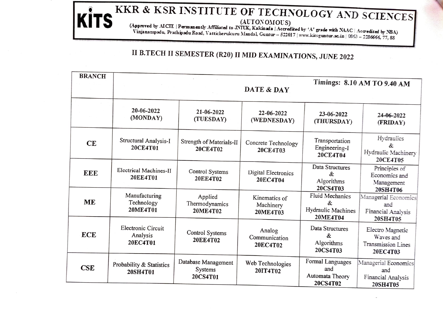## KITS KKR & KSR INSTITUTE OF TECHNOLOGY AND SCIENCES (AUTONOMOUS)<br>(Approved by AICIE | Permanently Affiliated to JNTUK, Kalkingla | Accredited by 'A' grade with NAAC | Accredited by 'NBA)<br>(Vinjanampadu, Prathipadu Road, Vat

## II B.TECH II SEMESTER (R20) II MID EXAMINATIONS, JUNE 2022

| <b>BRANCH</b> |                                                                                    |                                       | Timings: 8.10 AM TO 9.40 AM            |                                                                    |                                                                 |  |
|---------------|------------------------------------------------------------------------------------|---------------------------------------|----------------------------------------|--------------------------------------------------------------------|-----------------------------------------------------------------|--|
|               | 20-06-2022<br>(MONDAY)                                                             | 21-06-2022<br>(TUESDAY)               | 22-06-2022<br>(WEDNESDAY)              | 23-06-2022<br>(THURSDAY)                                           | 24-06-2022<br>(FRIDAY)                                          |  |
| CE            | Structural Analysis-I<br>20CE4T01                                                  | Strength of Materials-II<br>20CE4T02  | Concrete Technology<br>20CE4T03        | Transportation<br>Engineering-I<br>20CE4T04                        | Hydraulics<br>æ.<br>Hydraulic Machinery<br>20CE4T05             |  |
| <b>EEE</b>    | Electrical Machines-II<br>20EE4T01                                                 | Control Systems<br><b>20EE4T02</b>    | Digital Electronics<br>20EC4T04        | Data Structures<br>$\mathcal{R}$<br>Algorithms<br>20CS4T03         | Principles of<br>Economics and<br>Management<br>20SH4T06        |  |
| ME            | Manufacturing<br>Technology<br>20ME4T01                                            | Applied<br>Thermodynamics<br>20ME4T02 | Kinematics of<br>Machinery<br>20ME4T03 | Fluid Mechanics<br>$\mathcal{R}$<br>Hydraulic Machines<br>20ME4T04 | Managerial Economics<br>and<br>Financial Analysis<br>20SH4T05   |  |
| ECE           | Electronic Circuit<br>Analysis<br>20EC4T01                                         | Control Systems<br><b>20EE4T02</b>    | Analog<br>Communication<br>20EC4T02    | Data Structures<br>&<br>Algorithms<br>20CS4T03                     | Electro Magnetic<br>Waves and<br>Transmission Lines<br>20EC4T03 |  |
| CSE           | Database Management<br>Probability & Statistics<br>Systems<br>20SH4T01<br>20CS4T01 |                                       | Web Technologies<br>20IT4T02           | Formal Languages<br>and<br>Automata Theory<br>20CS4T02             | Managerial Economics<br>and<br>Financial Analysis<br>20SH4T05   |  |